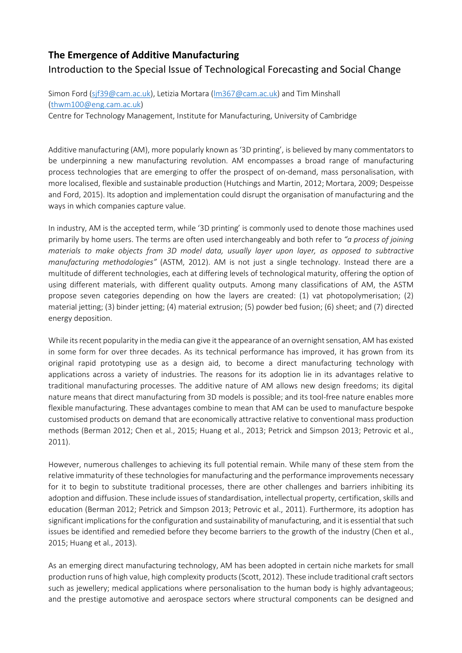# The Emergence of Additive Manufacturing Introduction to the Special Issue of Technological Forecasting and Social Change

Simon Ford [\(sjf39@cam.ac.uk\), Letizia](mailto:sjf39@cam.ac.uk) Mortara (Im367@cam.ac.uk) and Tim Minshall ([thwm100@eng.cam.ac.uk\)](mailto:thwm100@eng.cam.ac.uk)

Centre for Technology Management, Institute for Manufacturing, University of Cambridge

Additive manufacturing (AM), more popularly known as '3D printing', is believed by many commentators to be underpinning a new manufacturing revolution. AM encompasses a broad range of manufacturing process technologies that are emerging to offer the prospect of on-demand, mass personalisation, with more localised, flexible and sustainable production (Hutchings and Martin, 2012; Mortara, 2009; Despeisse and Ford, 2015). Its adoption and implementation could disrupt the organisation of manufacturing and the ways in which companies capture value.

In industry, AM is the accepted term, while '3D printing' is commonly used to denote those machines used primarily by home users. The terms are often used interchangeably and both refer to *"a process of joining materials to make objects from 3D model data, usually layer upon layer, as opposed to subtractive manufacturing methodologies"* (ASTM, 2012). AM is not just a single technology. Instead there are a multitude of different technologies, each at differing levels of technological maturity, offering the option of using different materials, with different quality outputs. Among many classifications of AM, the ASTM propose seven categories depending on how the layers are created: (1) vat photopolymerisation; (2) material jetting; (3) binder jetting; (4) material extrusion; (5) powder bed fusion; (6) sheet; and (7) directed energy deposition.

While its recent popularity in the media can give it the appearance of an overnight sensation, AM has existed in some form for over three decades. As its technical performance has improved, it has grown from its original rapid prototyping use as a design aid, to become a direct manufacturing technology with applications across a variety of industries. The reasons for its adoption lie in its advantages relative to traditional manufacturing processes. The additive nature of AM allows new design freedoms; its digital nature means that direct manufacturing from 3D models is possible; and its tool-free nature enables more flexible manufacturing. These advantages combine to mean that AM can be used to manufacture bespoke customised products on demand that are economically attractive relative to conventional mass production methods (Berman 2012; Chen et al., 2015; Huang et al., 2013; Petrick and Simpson 2013; Petrovic et al., 2011).

However, numerous challenges to achieving its full potential remain. While many of these stem from the relative immaturity of these technologies for manufacturing and the performance improvements necessary for it to begin to substitute traditional processes, there are other challenges and barriers inhibiting its adoption and diffusion. These include issues of standardisation, intellectual property, certification, skills and education (Berman 2012; Petrick and Simpson 2013; Petrovic et al., 2011). Furthermore, its adoption has significant implications for the configuration and sustainability of manufacturing, and it is essential that such issues be identified and remedied before they become barriers to the growth of the industry (Chen et al., 2015; Huang et al., 2013).

As an emerging direct manufacturing technology, AM has been adopted in certain niche markets for small production runs of high value, high complexity products (Scott, 2012). These include traditional craft sectors such as jewellery; medical applications where personalisation to the human body is highly advantageous; and the prestige automotive and aerospace sectors where structural components can be designed and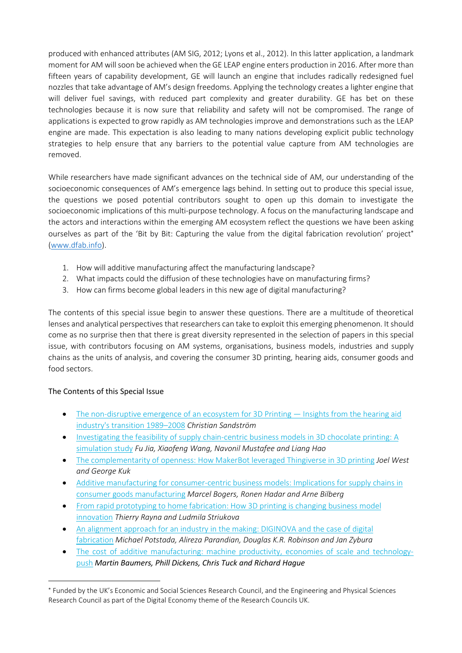produced with enhanced attributes (AM SIG, 2012; Lyons et al., 2012). In this latter application, a landmark moment for AM will soon be achieved when the GE LEAP engine enters production in 2016. After more than fifteen years of capability development, GE will launch an engine that includes radically redesigned fuel nozzles that take advantage of AM's design freedoms. Applying the technology creates a lighter engine that will deliver fuel savings, with reduced part complexity and greater durability. GE has bet on these technologies because it is now sure that reliability and safety will not be compromised. The range of applications is expected to grow rapidly as AM technologies improve and demonstrations such as the LEAP engine are made. This expectation is also leading to many nations developing explicit public technology strategies to help ensure that any barriers to the potential value capture from AM technologies are removed.

While researchers have made significant advances on the technical side of AM, our understanding of the socioeconomic consequences of AM's emergence lags behind. In setting out to produce this special issue, the questions we posed potential contributors sought to open up this domain to investigate the socioeconomic implications of this multi-purpose technology. A focus on the manufacturing landscape and the actors and interactions within the emerging AM ecosystem reflect the questions we have been asking ourselves as part of the 'Bit by Bit: Capturing the value from the digital fabrication revolution' project<sup>\*</sup> ([www.dfab.info\).](http://www.dfab.info/) 

- 1. How will additive manufacturing affect the manufacturing landscape?
- 2. What impacts could the diffusion of these technologies have on manufacturing firms?
- 3. How can firms become global leaders in this new age of digital manufacturing?

The contents of this special issue begin to answer these questions. There are a multitude of theoretical lenses and analytical perspectives that researchers can take to exploit this emerging phenomenon. It should come as no surprise then that there is great diversity represented in the selection of papers in this special issue, with contributors focusing on AM systems, organisations, business models, industries and supply chains as the units of analysis, and covering the consumer 3D printing, hearing aids, consumer goods and food sectors.

### The Contents of this Special Issue

 $\overline{a}$ 

- [The non-disruptive emergence of an ecosystem for 3D Printing —](http://www.sciencedirect.com/science/article/pii/S0040162515002681) Insights from the hearing aid [industry's transition 1989–2008](http://www.sciencedirect.com/science/article/pii/S0040162515002681) *Christian Sandström*
- [Investigating the feasibility of supply chain-centric business models in 3D chocolate printing: A](http://www.sciencedirect.com/science/article/pii/S0040162515002450)  [simulation study](http://www.sciencedirect.com/science/article/pii/S0040162515002450) *Fu Jia, Xiaofeng Wang, Navonil Mustafee and Liang Hao*
- [The complementarity of openness: How MakerBot leveraged Thingiverse in 3D printing](http://www.sciencedirect.com/science/article/pii/S0040162515002449) *Joel West and George Kuk*
- [Additive manufacturing for consumer-centric business models: Implications for supply chains in](http://www.sciencedirect.com/science/article/pii/S0040162515002437)  [consumer goods manufacturing](http://www.sciencedirect.com/science/article/pii/S0040162515002437) *Marcel Bogers, Ronen Hadar and Arne Bilberg*
- [From rapid prototyping to home fabrication: How 3D printing is changing business model](http://www.sciencedirect.com/science/article/pii/S0040162515002425)  [innovation](http://www.sciencedirect.com/science/article/pii/S0040162515002425) *Thierry Rayna and Ludmila Striukova*
- [An alignment approach for an industry in the making: DIGINOVA and the case of digital](http://www.sciencedirect.com/science/article/pii/S0040162515002292)  [fabrication](http://www.sciencedirect.com/science/article/pii/S0040162515002292) *Michael Potstada, Alireza Parandian, Douglas K.R. Robinson and Jan Zybura*
- [The cost of additive manufacturing: machine productivity, economies of scale and technology](http://www.sciencedirect.com/science/article/pii/S0040162515000530)[push](http://www.sciencedirect.com/science/article/pii/S0040162515000530) *Martin Baumers, Phill Dickens, Chris Tuck and Richard Hague*

Funded by the UK's Economic and Social Sciences Research Council, and the Engineering and Physical Sciences Research Council as part of the Digital Economy theme of the Research Councils UK.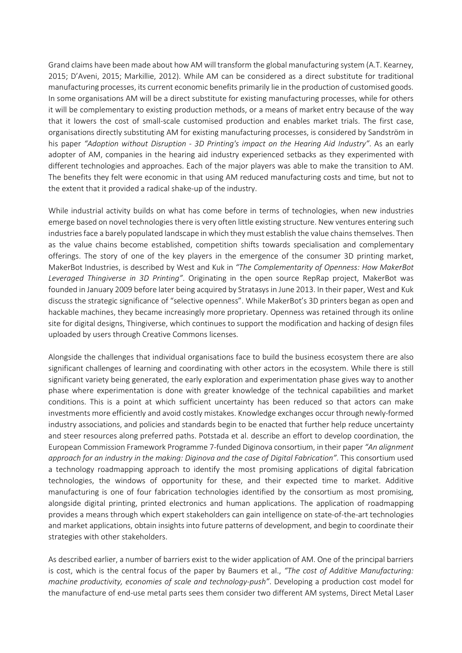Grand claims have been made about how AM will transform the global manufacturing system (A.T. Kearney, 2015; D'Aveni, 2015; Markillie, 2012). While AM can be considered as a direct substitute for traditional manufacturing processes, its current economic benefits primarily lie in the production of customised goods. In some organisations AM will be a direct substitute for existing manufacturing processes, while for others it will be complementary to existing production methods, or a means of market entry because of the way that it lowers the cost of small-scale customised production and enables market trials. The first case, organisations directly substituting AM for existing manufacturing processes, is considered by Sandström in his paper *"Adoption without Disruption - 3D Printing's impact on the Hearing Aid Industry"*. As an early adopter of AM, companies in the hearing aid industry experienced setbacks as they experimented with different technologies and approaches. Each of the major players was able to make the transition to AM. The benefits they felt were economic in that using AM reduced manufacturing costs and time, but not to the extent that it provided a radical shake-up of the industry.

While industrial activity builds on what has come before in terms of technologies, when new industries emerge based on novel technologies there is very often little existing structure. New ventures entering such industries face a barely populated landscape in which they must establish the value chains themselves. Then as the value chains become established, competition shifts towards specialisation and complementary offerings. The story of one of the key players in the emergence of the consumer 3D printing market, MakerBot Industries, is described by West and Kuk in *"The Complementarity of Openness: How MakerBot Leveraged Thingiverse in 3D Printing"*. Originating in the open source RepRap project, MakerBot was founded in January 2009 before later being acquired by Stratasys in June 2013. In their paper, West and Kuk discuss the strategic significance of "selective openness". While MakerBot's 3D printers began as open and hackable machines, they became increasingly more proprietary. Openness was retained through its online site for digital designs, Thingiverse, which continues to support the modification and hacking of design files uploaded by users through Creative Commons licenses.

Alongside the challenges that individual organisations face to build the business ecosystem there are also significant challenges of learning and coordinating with other actors in the ecosystem. While there is still significant variety being generated, the early exploration and experimentation phase gives way to another phase where experimentation is done with greater knowledge of the technical capabilities and market conditions. This is a point at which sufficient uncertainty has been reduced so that actors can make investments more efficiently and avoid costly mistakes. Knowledge exchanges occur through newly-formed industry associations, and policies and standards begin to be enacted that further help reduce uncertainty and steer resources along preferred paths. Potstada et al. describe an effort to develop coordination, the European Commission Framework Programme 7-funded Diginova consortium, in their paper *"An alignment approach for an industry in the making: Diginova and the case of Digital Fabrication"*. This consortium used a technology roadmapping approach to identify the most promising applications of digital fabrication technologies, the windows of opportunity for these, and their expected time to market. Additive manufacturing is one of four fabrication technologies identified by the consortium as most promising, alongside digital printing, printed electronics and human applications. The application of roadmapping provides a means through which expert stakeholders can gain intelligence on state-of-the-art technologies and market applications, obtain insights into future patterns of development, and begin to coordinate their strategies with other stakeholders.

As described earlier, a number of barriers exist to the wider application of AM. One of the principal barriers is cost, which is the central focus of the paper by Baumers et al., *"The cost of Additive Manufacturing: machine productivity, economies of scale and technology-push"*. Developing a production cost model for the manufacture of end-use metal parts sees them consider two different AM systems, Direct Metal Laser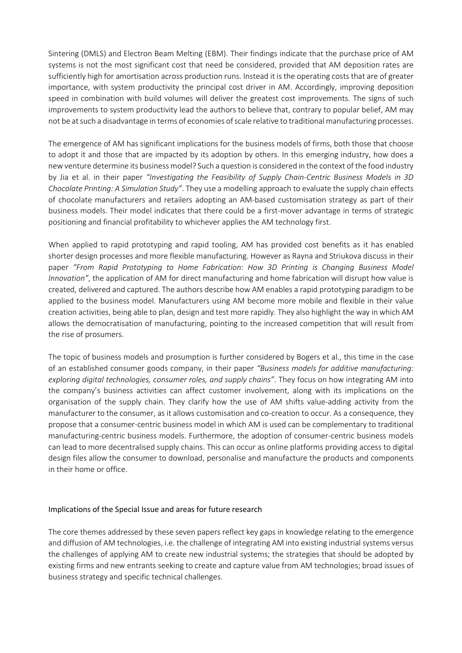Sintering (DMLS) and Electron Beam Melting (EBM). Their findings indicate that the purchase price of AM systems is not the most significant cost that need be considered, provided that AM deposition rates are sufficiently high for amortisation across production runs. Instead it is the operating costs that are of greater importance, with system productivity the principal cost driver in AM. Accordingly, improving deposition speed in combination with build volumes will deliver the greatest cost improvements. The signs of such improvements to system productivity lead the authors to believe that, contrary to popular belief, AM may not be at such a disadvantage in terms of economies of scale relative to traditional manufacturing processes.

The emergence of AM has significant implications for the business models of firms, both those that choose to adopt it and those that are impacted by its adoption by others. In this emerging industry, how does a new venture determine its business model? Such a question is considered in the context of the food industry by Jia et al. in their paper *"Investigating the Feasibility of Supply Chain-Centric Business Models in 3D Chocolate Printing: A Simulation Study"*. They use a modelling approach to evaluate the supply chain effects of chocolate manufacturers and retailers adopting an AM-based customisation strategy as part of their business models. Their model indicates that there could be a first-mover advantage in terms of strategic positioning and financial profitability to whichever applies the AM technology first.

When applied to rapid prototyping and rapid tooling, AM has provided cost benefits as it has enabled shorter design processes and more flexible manufacturing. However as Rayna and Striukova discuss in their paper *"From Rapid Prototyping to Home Fabrication: How 3D Printing is Changing Business Model Innovation"*, the application of AM for direct manufacturing and home fabrication will disrupt how value is created, delivered and captured. The authors describe how AM enables a rapid prototyping paradigm to be applied to the business model. Manufacturers using AM become more mobile and flexible in their value creation activities, being able to plan, design and test more rapidly. They also highlight the way in which AM allows the democratisation of manufacturing, pointing to the increased competition that will result from the rise of prosumers.

The topic of business models and prosumption is further considered by Bogers et al., this time in the case of an established consumer goods company, in their paper *"Business models for additive manufacturing: exploring digital technologies, consumer roles, and supply chains"*. They focus on how integrating AM into the company's business activities can affect customer involvement, along with its implications on the organisation of the supply chain. They clarify how the use of AM shifts value-adding activity from the manufacturer to the consumer, as it allows customisation and co-creation to occur. As a consequence, they propose that a consumer-centric business model in which AM is used can be complementary to traditional manufacturing-centric business models. Furthermore, the adoption of consumer-centric business models can lead to more decentralised supply chains. This can occur as online platforms providing access to digital design files allow the consumer to download, personalise and manufacture the products and components in their home or office.

#### Implications of the Special Issue and areas for future research

The core themes addressed by these seven papers reflect key gaps in knowledge relating to the emergence and diffusion of AM technologies, i.e. the challenge of integrating AM into existing industrial systems versus the challenges of applying AM to create new industrial systems; the strategies that should be adopted by existing firms and new entrants seeking to create and capture value from AM technologies; broad issues of business strategy and specific technical challenges.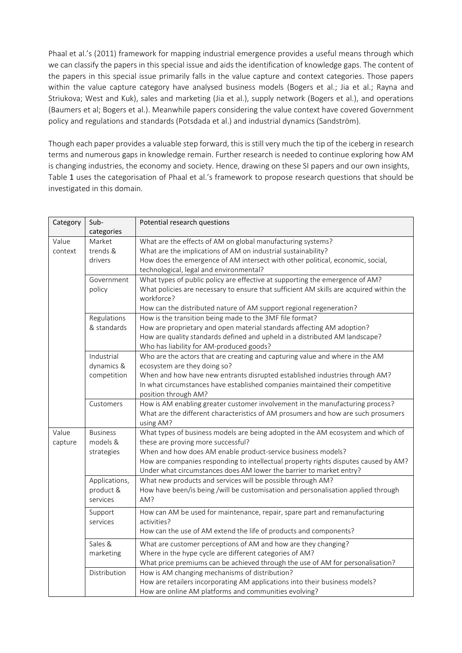Phaal et al.'s (2011) framework for mapping industrial emergence provides a useful means through which we can classify the papers in this special issue and aids the identification of knowledge gaps. The content of the papers in this special issue primarily falls in the value capture and context categories. Those papers within the value capture category have analysed business models (Bogers et al.; Jia et al.; Rayna and Striukova; West and Kuk), sales and marketing (Jia et al.), supply network (Bogers et al.), and operations (Baumers et al; Bogers et al.). Meanwhile papers considering the value context have covered Government policy and regulations and standards (Potsdada et al.) and industrial dynamics (Sandström).

Though each paper provides a valuable step forward, this is still very much the tip of the iceberg in research terms and numerous gaps in knowledge remain. Further research is needed to continue exploring how AM is changing industries, the economy and society. Hence, drawing on these SI papers and our own insights, Table 1 uses the categorisation of Phaal et al.'s framework to propose research questions that should be investigated in this domain.

| Category | Sub-<br>categories | Potential research questions                                                                          |
|----------|--------------------|-------------------------------------------------------------------------------------------------------|
| Value    | Market             |                                                                                                       |
|          |                    | What are the effects of AM on global manufacturing systems?                                           |
| context  | trends &           | What are the implications of AM on industrial sustainability?                                         |
|          | drivers            | How does the emergence of AM intersect with other political, economic, social,                        |
|          |                    | technological, legal and environmental?                                                               |
|          | Government         | What types of public policy are effective at supporting the emergence of AM?                          |
|          | policy             | What policies are necessary to ensure that sufficient AM skills are acquired within the<br>workforce? |
|          |                    | How can the distributed nature of AM support regional regeneration?                                   |
|          | Regulations        | How is the transition being made to the 3MF file format?                                              |
|          | & standards        | How are proprietary and open material standards affecting AM adoption?                                |
|          |                    | How are quality standards defined and upheld in a distributed AM landscape?                           |
|          |                    | Who has liability for AM-produced goods?                                                              |
|          | Industrial         | Who are the actors that are creating and capturing value and where in the AM                          |
|          | dynamics &         | ecosystem are they doing so?                                                                          |
|          | competition        | When and how have new entrants disrupted established industries through AM?                           |
|          |                    | In what circumstances have established companies maintained their competitive                         |
|          |                    | position through AM?                                                                                  |
|          | Customers          | How is AM enabling greater customer involvement in the manufacturing process?                         |
|          |                    | What are the different characteristics of AM prosumers and how are such prosumers                     |
|          |                    | using AM?                                                                                             |
| Value    | <b>Business</b>    | What types of business models are being adopted in the AM ecosystem and which of                      |
| capture  | models &           | these are proving more successful?                                                                    |
|          | strategies         | When and how does AM enable product-service business models?                                          |
|          |                    | How are companies responding to intellectual property rights disputes caused by AM?                   |
|          |                    | Under what circumstances does AM lower the barrier to market entry?                                   |
|          | Applications,      | What new products and services will be possible through AM?                                           |
|          | product &          | How have been/is being /will be customisation and personalisation applied through                     |
|          | services           | AM?                                                                                                   |
|          | Support            | How can AM be used for maintenance, repair, spare part and remanufacturing                            |
|          | services           | activities?                                                                                           |
|          |                    | How can the use of AM extend the life of products and components?                                     |
|          | Sales &            | What are customer perceptions of AM and how are they changing?                                        |
|          | marketing          | Where in the hype cycle are different categories of AM?                                               |
|          |                    | What price premiums can be achieved through the use of AM for personalisation?                        |
|          | Distribution       | How is AM changing mechanisms of distribution?                                                        |
|          |                    | How are retailers incorporating AM applications into their business models?                           |
|          |                    | How are online AM platforms and communities evolving?                                                 |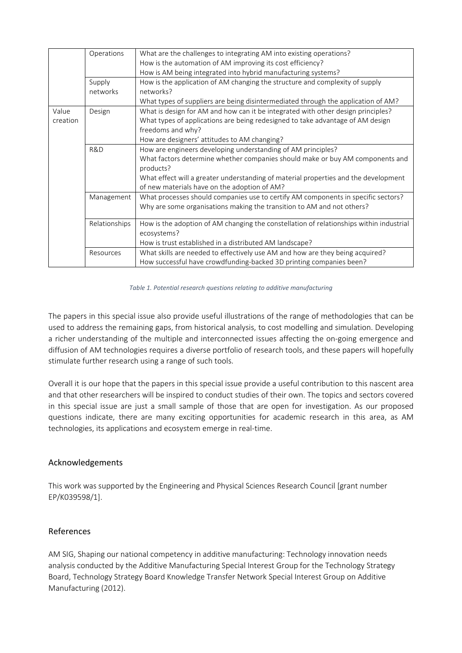|          | Operations    | What are the challenges to integrating AM into existing operations?                     |
|----------|---------------|-----------------------------------------------------------------------------------------|
|          |               | How is the automation of AM improving its cost efficiency?                              |
|          |               | How is AM being integrated into hybrid manufacturing systems?                           |
|          | Supply        | How is the application of AM changing the structure and complexity of supply            |
|          | networks      | networks?                                                                               |
|          |               | What types of suppliers are being disintermediated through the application of AM?       |
| Value    | Design        | What is design for AM and how can it be integrated with other design principles?        |
| creation |               | What types of applications are being redesigned to take advantage of AM design          |
|          |               | freedoms and why?                                                                       |
|          |               | How are designers' attitudes to AM changing?                                            |
|          | R&D           | How are engineers developing understanding of AM principles?                            |
|          |               | What factors determine whether companies should make or buy AM components and           |
|          |               | products?                                                                               |
|          |               | What effect will a greater understanding of material properties and the development     |
|          |               | of new materials have on the adoption of AM?                                            |
|          | Management    | What processes should companies use to certify AM components in specific sectors?       |
|          |               | Why are some organisations making the transition to AM and not others?                  |
|          |               |                                                                                         |
|          | Relationships | How is the adoption of AM changing the constellation of relationships within industrial |
|          |               | ecosystems?                                                                             |
|          |               | How is trust established in a distributed AM landscape?                                 |
|          | Resources     | What skills are needed to effectively use AM and how are they being acquired?           |
|          |               | How successful have crowdfunding-backed 3D printing companies been?                     |

*Table 1. Potential research questions relating to additive manufacturing*

The papers in this special issue also provide useful illustrations of the range of methodologies that can be used to address the remaining gaps, from historical analysis, to cost modelling and simulation. Developing a richer understanding of the multiple and interconnected issues affecting the on-going emergence and diffusion of AM technologies requires a diverse portfolio of research tools, and these papers will hopefully stimulate further research using a range of such tools.

Overall it is our hope that the papers in this special issue provide a useful contribution to this nascent area and that other researchers will be inspired to conduct studies of their own. The topics and sectors covered in this special issue are just a small sample of those that are open for investigation. As our proposed questions indicate, there are many exciting opportunities for academic research in this area, as AM technologies, its applications and ecosystem emerge in real-time.

## Acknowledgements

This work was supported by the Engineering and Physical Sciences Research Council [grant number EP/K039598/1].

## References

AM SIG, Shaping our national competency in additive manufacturing: Technology innovation needs analysis conducted by the Additive Manufacturing Special Interest Group for the Technology Strategy Board, Technology Strategy Board Knowledge Transfer Network Special Interest Group on Additive Manufacturing (2012).